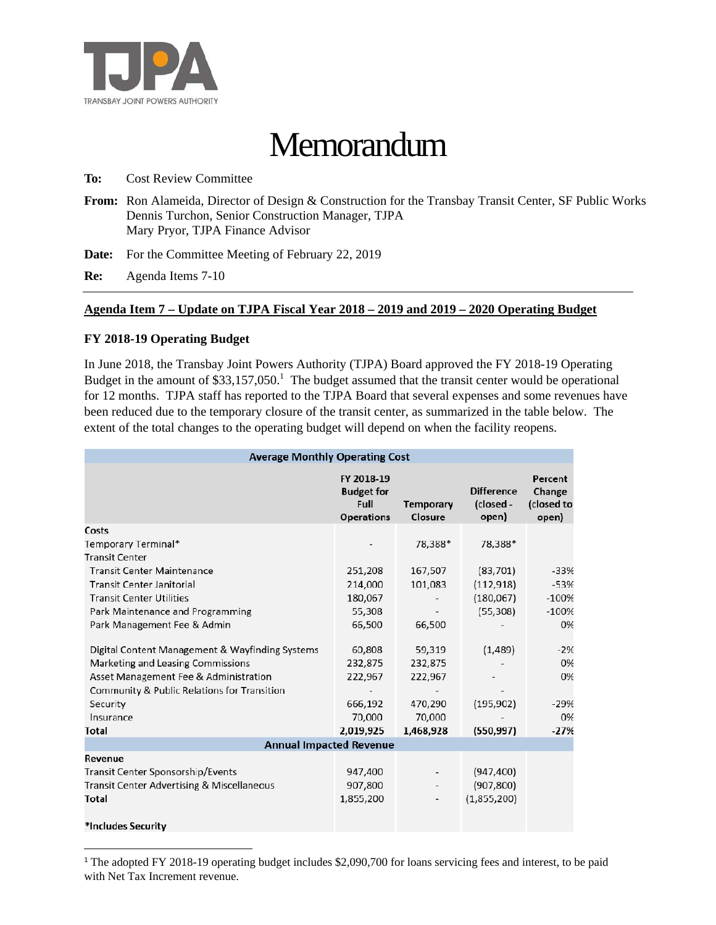

# **Memorandum**

**To:** Cost Review Committee

**From:** Ron Alameida, Director of Design & Construction for the Transbay Transit Center, SF Public Works Dennis Turchon, Senior Construction Manager, TJPA Mary Pryor, TJPA Finance Advisor

**Date:** For the Committee Meeting of February 22, 2019

**Re:** Agenda Items 7-10

#### **Agenda Item 7 – Update on TJPA Fiscal Year 2018 – 2019 and 2019 – 2020 Operating Budget**

## **FY 2018-19 Operating Budget**

In June 2018, the Transbay Joint Powers Authority (TJPA) Board approved the FY 2018-19 Operating Budget in the amount of  $$33,157,050$ .<sup>1</sup> The budget assumed that the transit center would be operational for 12 months. TJPA staff has reported to the TJPA Board that several expenses and some revenues have been reduced due to the temporary closure of the transit center, as summarized in the table below. The extent of the total changes to the operating budget will depend on when the facility reopens.

| <b>Average Monthly Operating Cost</b>           |                                                              |                             |                                         |                                          |  |  |  |
|-------------------------------------------------|--------------------------------------------------------------|-----------------------------|-----------------------------------------|------------------------------------------|--|--|--|
|                                                 | FY 2018-19<br><b>Budget for</b><br>Full<br><b>Operations</b> | <b>Temporary</b><br>Closure | <b>Difference</b><br>(closed -<br>open) | Percent<br>Change<br>(closed to<br>open) |  |  |  |
| Costs                                           |                                                              |                             |                                         |                                          |  |  |  |
| Temporary Terminal*                             |                                                              | 78,388*                     | 78,388*                                 |                                          |  |  |  |
| <b>Transit Center</b>                           |                                                              |                             |                                         |                                          |  |  |  |
| <b>Transit Center Maintenance</b>               | 251,208                                                      | 167,507                     | (83, 701)                               | $-33%$                                   |  |  |  |
| <b>Transit Center Janitorial</b>                | 214,000                                                      | 101,083                     | (112, 918)                              | $-53%$                                   |  |  |  |
| <b>Transit Center Utilities</b>                 | 180,067                                                      |                             | (180,067)                               | $-100%$                                  |  |  |  |
| Park Maintenance and Programming                | 55,308                                                       |                             | (55, 308)                               | $-100%$                                  |  |  |  |
| Park Management Fee & Admin                     | 66,500                                                       | 66,500                      |                                         | 0%                                       |  |  |  |
| Digital Content Management & Wayfinding Systems | 60,808                                                       | 59,319                      | (1,489)                                 | $-2%$                                    |  |  |  |
| Marketing and Leasing Commissions               | 232,875                                                      | 232,875                     |                                         | 0%                                       |  |  |  |
| Asset Management Fee & Administration           | 222,967                                                      | 222,967                     |                                         | 0%                                       |  |  |  |
| Community & Public Relations for Transition     |                                                              |                             |                                         |                                          |  |  |  |
| Security                                        | 666,192                                                      | 470,290                     | (195, 902)                              | $-29%$                                   |  |  |  |
| Insurance                                       | 70,000                                                       | 70,000                      |                                         | 0%                                       |  |  |  |
| Total                                           | 2,019,925                                                    | 1,468,928                   | (550, 997)                              | $-27%$                                   |  |  |  |
| <b>Annual Impacted Revenue</b>                  |                                                              |                             |                                         |                                          |  |  |  |
| Revenue                                         |                                                              |                             |                                         |                                          |  |  |  |
| Transit Center Sponsorship/Events               | 947,400                                                      |                             | (947, 400)                              |                                          |  |  |  |
| Transit Center Advertising & Miscellaneous      | 907,800                                                      |                             | (907, 800)                              |                                          |  |  |  |
| Total                                           | 1,855,200                                                    | $\overline{\phantom{a}}$    | (1,855,200)                             |                                          |  |  |  |
| *Includes Security                              |                                                              |                             |                                         |                                          |  |  |  |

<sup>&</sup>lt;sup>1</sup> The adopted FY 2018-19 operating budget includes \$2,090,700 for loans servicing fees and interest, to be paid with Net Tax Increment revenue.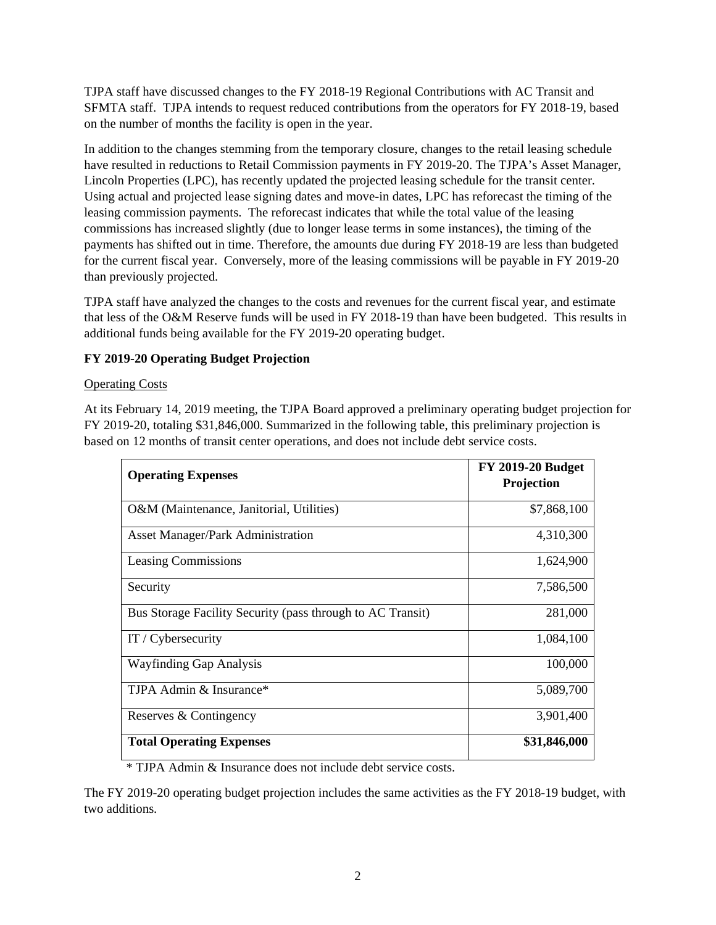TJPA staff have discussed changes to the FY 2018-19 Regional Contributions with AC Transit and SFMTA staff. TJPA intends to request reduced contributions from the operators for FY 2018-19, based on the number of months the facility is open in the year.

In addition to the changes stemming from the temporary closure, changes to the retail leasing schedule have resulted in reductions to Retail Commission payments in FY 2019-20. The TJPA's Asset Manager, Lincoln Properties (LPC), has recently updated the projected leasing schedule for the transit center. Using actual and projected lease signing dates and move-in dates, LPC has reforecast the timing of the leasing commission payments. The reforecast indicates that while the total value of the leasing commissions has increased slightly (due to longer lease terms in some instances), the timing of the payments has shifted out in time. Therefore, the amounts due during FY 2018-19 are less than budgeted for the current fiscal year. Conversely, more of the leasing commissions will be payable in FY 2019-20 than previously projected.

TJPA staff have analyzed the changes to the costs and revenues for the current fiscal year, and estimate that less of the O&M Reserve funds will be used in FY 2018-19 than have been budgeted. This results in additional funds being available for the FY 2019-20 operating budget.

# **FY 2019-20 Operating Budget Projection**

# Operating Costs

At its February 14, 2019 meeting, the TJPA Board approved a preliminary operating budget projection for FY 2019-20, totaling \$31,846,000. Summarized in the following table, this preliminary projection is based on 12 months of transit center operations, and does not include debt service costs.

| <b>Operating Expenses</b>                                  | <b>FY 2019-20 Budget</b><br>Projection |
|------------------------------------------------------------|----------------------------------------|
| O&M (Maintenance, Janitorial, Utilities)                   | \$7,868,100                            |
| <b>Asset Manager/Park Administration</b>                   | 4,310,300                              |
| <b>Leasing Commissions</b>                                 | 1,624,900                              |
| Security                                                   | 7,586,500                              |
| Bus Storage Facility Security (pass through to AC Transit) | 281,000                                |
| IT / Cybersecurity                                         | 1,084,100                              |
| <b>Wayfinding Gap Analysis</b>                             | 100,000                                |
| TJPA Admin & Insurance*                                    | 5,089,700                              |
| Reserves & Contingency                                     | 3,901,400                              |
| <b>Total Operating Expenses</b>                            | \$31,846,000                           |

\* TJPA Admin & Insurance does not include debt service costs.

The FY 2019-20 operating budget projection includes the same activities as the FY 2018-19 budget, with two additions.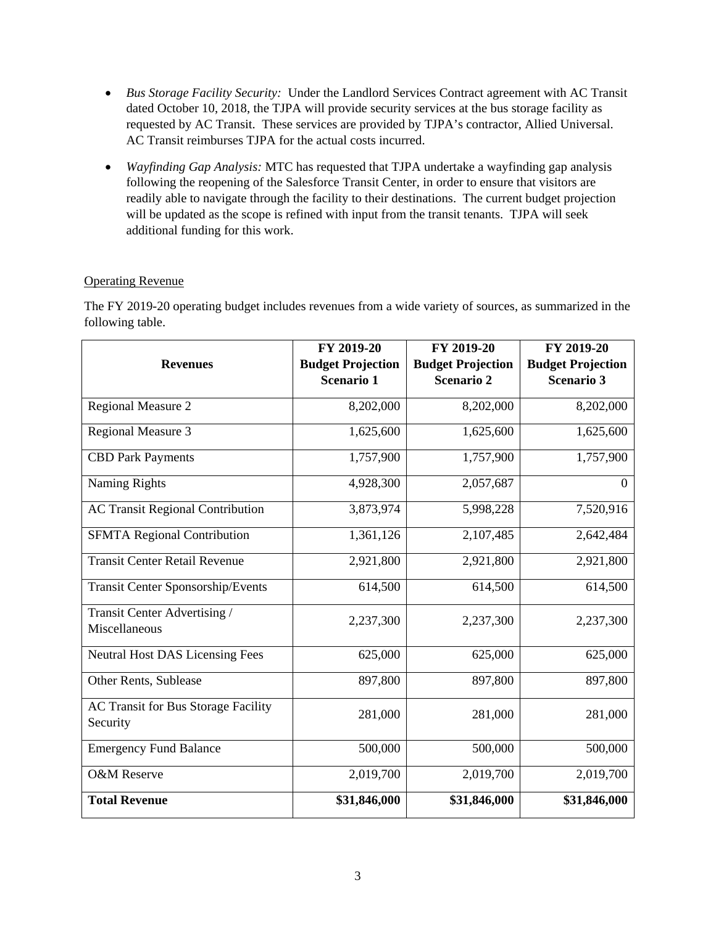- *Bus Storage Facility Security:* Under the Landlord Services Contract agreement with AC Transit dated October 10, 2018, the TJPA will provide security services at the bus storage facility as requested by AC Transit. These services are provided by TJPA's contractor, Allied Universal. AC Transit reimburses TJPA for the actual costs incurred.
- *Wayfinding Gap Analysis:* MTC has requested that TJPA undertake a wayfinding gap analysis following the reopening of the Salesforce Transit Center, in order to ensure that visitors are readily able to navigate through the facility to their destinations. The current budget projection will be updated as the scope is refined with input from the transit tenants. TJPA will seek additional funding for this work.

## Operating Revenue

The FY 2019-20 operating budget includes revenues from a wide variety of sources, as summarized in the following table.

|                                                        | FY 2019-20               | FY 2019-20               | FY 2019-20               |
|--------------------------------------------------------|--------------------------|--------------------------|--------------------------|
| <b>Revenues</b>                                        | <b>Budget Projection</b> | <b>Budget Projection</b> | <b>Budget Projection</b> |
|                                                        | <b>Scenario 1</b>        | Scenario 2               | <b>Scenario 3</b>        |
| Regional Measure 2                                     | 8,202,000                | 8,202,000                | 8,202,000                |
| <b>Regional Measure 3</b>                              | 1,625,600                | 1,625,600                | 1,625,600                |
| <b>CBD Park Payments</b>                               | 1,757,900                | 1,757,900                | 1,757,900                |
| Naming Rights                                          | 4,928,300                | 2,057,687                | $\overline{0}$           |
| <b>AC Transit Regional Contribution</b>                | 3,873,974                | 5,998,228                | 7,520,916                |
| <b>SFMTA Regional Contribution</b>                     | 1,361,126                | 2,107,485                | 2,642,484                |
| <b>Transit Center Retail Revenue</b>                   | 2,921,800                | 2,921,800                | 2,921,800                |
| <b>Transit Center Sponsorship/Events</b>               | 614,500                  | 614,500                  | 614,500                  |
| Transit Center Advertising /<br>Miscellaneous          | 2,237,300                | 2,237,300                | 2,237,300                |
| <b>Neutral Host DAS Licensing Fees</b>                 | 625,000                  | 625,000                  | 625,000                  |
| Other Rents, Sublease                                  | 897,800                  | 897,800                  | 897,800                  |
| <b>AC Transit for Bus Storage Facility</b><br>Security | 281,000                  | 281,000                  | 281,000                  |
| <b>Emergency Fund Balance</b>                          | 500,000                  | 500,000                  | 500,000                  |
| <b>O&amp;M</b> Reserve                                 | 2,019,700                | 2,019,700                | 2,019,700                |
| <b>Total Revenue</b>                                   | \$31,846,000             | \$31,846,000             | \$31,846,000             |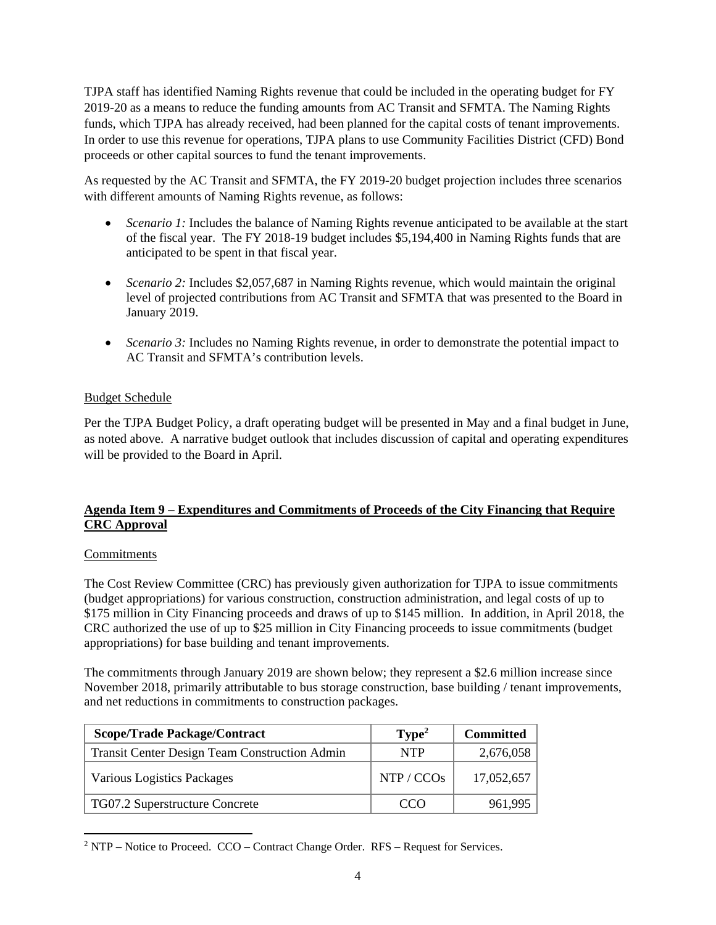TJPA staff has identified Naming Rights revenue that could be included in the operating budget for FY 2019-20 as a means to reduce the funding amounts from AC Transit and SFMTA. The Naming Rights funds, which TJPA has already received, had been planned for the capital costs of tenant improvements. In order to use this revenue for operations, TJPA plans to use Community Facilities District (CFD) Bond proceeds or other capital sources to fund the tenant improvements.

As requested by the AC Transit and SFMTA, the FY 2019-20 budget projection includes three scenarios with different amounts of Naming Rights revenue, as follows:

- *Scenario 1:* Includes the balance of Naming Rights revenue anticipated to be available at the start of the fiscal year. The FY 2018-19 budget includes \$5,194,400 in Naming Rights funds that are anticipated to be spent in that fiscal year.
- *Scenario 2:* Includes \$2,057,687 in Naming Rights revenue, which would maintain the original level of projected contributions from AC Transit and SFMTA that was presented to the Board in January 2019.
- *Scenario 3:* Includes no Naming Rights revenue, in order to demonstrate the potential impact to AC Transit and SFMTA's contribution levels.

## Budget Schedule

Per the TJPA Budget Policy, a draft operating budget will be presented in May and a final budget in June, as noted above. A narrative budget outlook that includes discussion of capital and operating expenditures will be provided to the Board in April.

# **Agenda Item 9 – Expenditures and Commitments of Proceeds of the City Financing that Require CRC Approval**

#### Commitments

The Cost Review Committee (CRC) has previously given authorization for TJPA to issue commitments (budget appropriations) for various construction, construction administration, and legal costs of up to \$175 million in City Financing proceeds and draws of up to \$145 million. In addition, in April 2018, the CRC authorized the use of up to \$25 million in City Financing proceeds to issue commitments (budget appropriations) for base building and tenant improvements.

The commitments through January 2019 are shown below; they represent a \$2.6 million increase since November 2018, primarily attributable to bus storage construction, base building / tenant improvements, and net reductions in commitments to construction packages.

| <b>Scope/Trade Package/Contract</b>                  | Type <sup>2</sup> | <b>Committed</b> |  |  |
|------------------------------------------------------|-------------------|------------------|--|--|
| <b>Transit Center Design Team Construction Admin</b> | <b>NTP</b>        | 2,676,058        |  |  |
| Various Logistics Packages                           | NTP / CCOs        | 17,052,657       |  |  |
| TG07.2 Superstructure Concrete                       | $\alpha$          | 961,995          |  |  |

 <sup>2</sup> NTP – Notice to Proceed. CCO – Contract Change Order. RFS – Request for Services.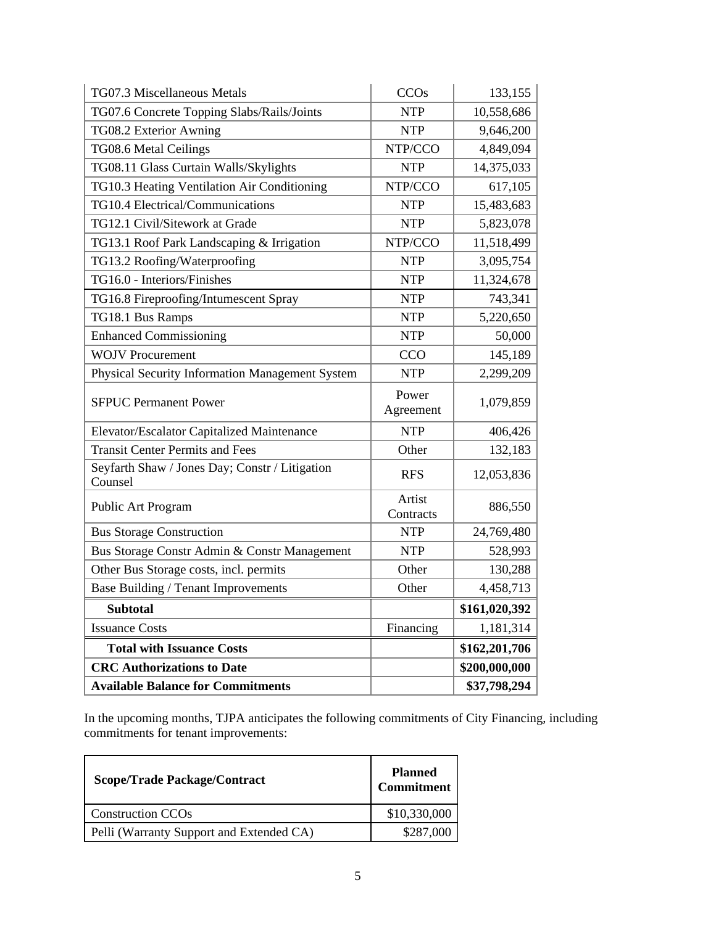| TG07.3 Miscellaneous Metals                               | <b>CCOs</b>         | 133,155       |  |
|-----------------------------------------------------------|---------------------|---------------|--|
| TG07.6 Concrete Topping Slabs/Rails/Joints                | <b>NTP</b>          | 10,558,686    |  |
| TG08.2 Exterior Awning                                    | <b>NTP</b>          | 9,646,200     |  |
| TG08.6 Metal Ceilings                                     | NTP/CCO             | 4,849,094     |  |
| TG08.11 Glass Curtain Walls/Skylights                     | <b>NTP</b>          | 14,375,033    |  |
| TG10.3 Heating Ventilation Air Conditioning               | NTP/CCO             | 617,105       |  |
| TG10.4 Electrical/Communications                          | <b>NTP</b>          | 15,483,683    |  |
| TG12.1 Civil/Sitework at Grade                            | <b>NTP</b>          | 5,823,078     |  |
| TG13.1 Roof Park Landscaping & Irrigation                 | NTP/CCO             | 11,518,499    |  |
| TG13.2 Roofing/Waterproofing                              | <b>NTP</b>          | 3,095,754     |  |
| TG16.0 - Interiors/Finishes                               | <b>NTP</b>          | 11,324,678    |  |
| TG16.8 Fireproofing/Intumescent Spray                     | <b>NTP</b>          | 743,341       |  |
| TG18.1 Bus Ramps                                          | <b>NTP</b>          | 5,220,650     |  |
| <b>Enhanced Commissioning</b>                             | <b>NTP</b>          | 50,000        |  |
| <b>WOJV Procurement</b>                                   | CCO                 | 145,189       |  |
| Physical Security Information Management System           | <b>NTP</b>          | 2,299,209     |  |
| <b>SFPUC Permanent Power</b>                              | Power<br>Agreement  | 1,079,859     |  |
| Elevator/Escalator Capitalized Maintenance                | <b>NTP</b>          | 406,426       |  |
| <b>Transit Center Permits and Fees</b>                    | Other               | 132,183       |  |
| Seyfarth Shaw / Jones Day; Constr / Litigation<br>Counsel | <b>RFS</b>          | 12,053,836    |  |
| Public Art Program                                        | Artist<br>Contracts | 886,550       |  |
| <b>Bus Storage Construction</b>                           | <b>NTP</b>          | 24,769,480    |  |
| Bus Storage Constr Admin & Constr Management              | <b>NTP</b>          | 528,993       |  |
| Other Bus Storage costs, incl. permits                    | Other               | 130,288       |  |
| Base Building / Tenant Improvements                       | Other               | 4,458,713     |  |
| <b>Subtotal</b>                                           |                     | \$161,020,392 |  |
| <b>Issuance Costs</b>                                     | Financing           | 1,181,314     |  |
| <b>Total with Issuance Costs</b>                          |                     | \$162,201,706 |  |
| <b>CRC</b> Authorizations to Date                         |                     | \$200,000,000 |  |
| <b>Available Balance for Commitments</b>                  |                     | \$37,798,294  |  |

In the upcoming months, TJPA anticipates the following commitments of City Financing, including commitments for tenant improvements:

| <b>Scope/Trade Package/Contract</b>      | <b>Planned</b><br><b>Commitment</b> |  |  |
|------------------------------------------|-------------------------------------|--|--|
| <b>Construction CCOs</b>                 | \$10,330,000                        |  |  |
| Pelli (Warranty Support and Extended CA) | \$287,000                           |  |  |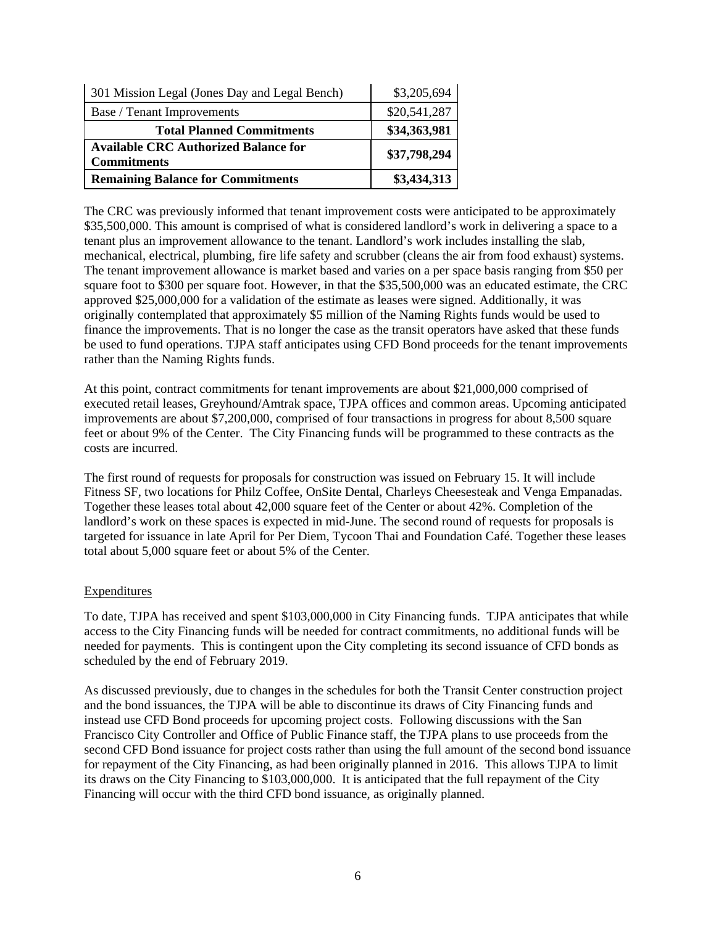| 301 Mission Legal (Jones Day and Legal Bench)                     | \$3,205,694  |
|-------------------------------------------------------------------|--------------|
| Base / Tenant Improvements                                        | \$20,541,287 |
| <b>Total Planned Commitments</b>                                  | \$34,363,981 |
| <b>Available CRC Authorized Balance for</b><br><b>Commitments</b> | \$37,798,294 |
| <b>Remaining Balance for Commitments</b>                          | \$3,434,313  |

The CRC was previously informed that tenant improvement costs were anticipated to be approximately \$35,500,000. This amount is comprised of what is considered landlord's work in delivering a space to a tenant plus an improvement allowance to the tenant. Landlord's work includes installing the slab, mechanical, electrical, plumbing, fire life safety and scrubber (cleans the air from food exhaust) systems. The tenant improvement allowance is market based and varies on a per space basis ranging from \$50 per square foot to \$300 per square foot. However, in that the \$35,500,000 was an educated estimate, the CRC approved \$25,000,000 for a validation of the estimate as leases were signed. Additionally, it was originally contemplated that approximately \$5 million of the Naming Rights funds would be used to finance the improvements. That is no longer the case as the transit operators have asked that these funds be used to fund operations. TJPA staff anticipates using CFD Bond proceeds for the tenant improvements rather than the Naming Rights funds.

At this point, contract commitments for tenant improvements are about \$21,000,000 comprised of executed retail leases, Greyhound/Amtrak space, TJPA offices and common areas. Upcoming anticipated improvements are about \$7,200,000, comprised of four transactions in progress for about 8,500 square feet or about 9% of the Center. The City Financing funds will be programmed to these contracts as the costs are incurred.

The first round of requests for proposals for construction was issued on February 15. It will include Fitness SF, two locations for Philz Coffee, OnSite Dental, Charleys Cheesesteak and Venga Empanadas. Together these leases total about 42,000 square feet of the Center or about 42%. Completion of the landlord's work on these spaces is expected in mid-June. The second round of requests for proposals is targeted for issuance in late April for Per Diem, Tycoon Thai and Foundation Café. Together these leases total about 5,000 square feet or about 5% of the Center.

#### **Expenditures**

To date, TJPA has received and spent \$103,000,000 in City Financing funds. TJPA anticipates that while access to the City Financing funds will be needed for contract commitments, no additional funds will be needed for payments. This is contingent upon the City completing its second issuance of CFD bonds as scheduled by the end of February 2019.

As discussed previously, due to changes in the schedules for both the Transit Center construction project and the bond issuances, the TJPA will be able to discontinue its draws of City Financing funds and instead use CFD Bond proceeds for upcoming project costs. Following discussions with the San Francisco City Controller and Office of Public Finance staff, the TJPA plans to use proceeds from the second CFD Bond issuance for project costs rather than using the full amount of the second bond issuance for repayment of the City Financing, as had been originally planned in 2016. This allows TJPA to limit its draws on the City Financing to \$103,000,000. It is anticipated that the full repayment of the City Financing will occur with the third CFD bond issuance, as originally planned.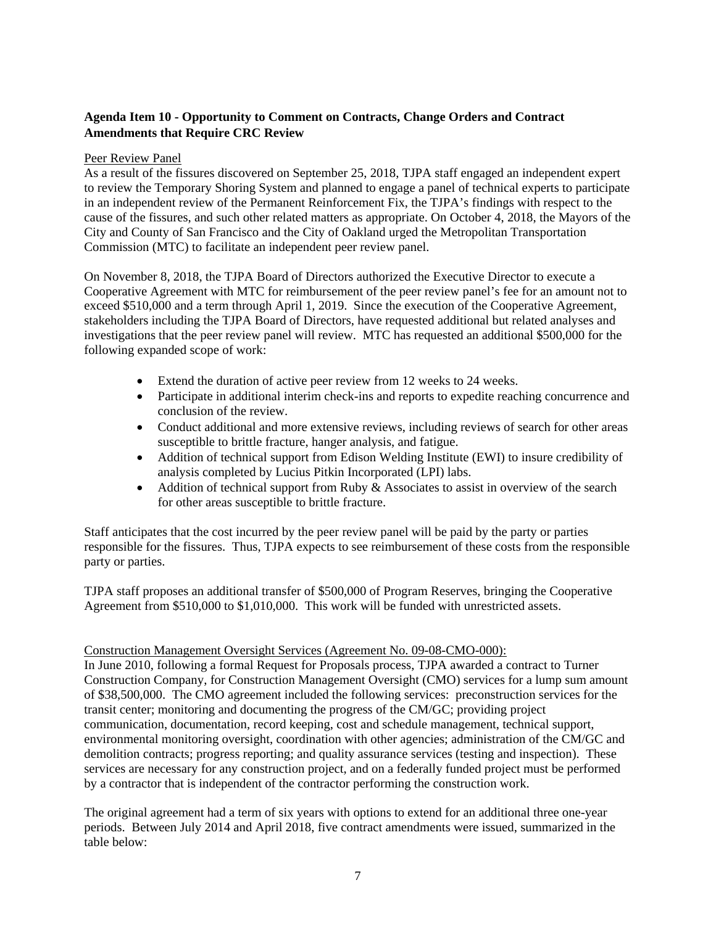# **Agenda Item 10 - Opportunity to Comment on Contracts, Change Orders and Contract Amendments that Require CRC Review**

#### Peer Review Panel

As a result of the fissures discovered on September 25, 2018, TJPA staff engaged an independent expert to review the Temporary Shoring System and planned to engage a panel of technical experts to participate in an independent review of the Permanent Reinforcement Fix, the TJPA's findings with respect to the cause of the fissures, and such other related matters as appropriate. On October 4, 2018, the Mayors of the City and County of San Francisco and the City of Oakland urged the Metropolitan Transportation Commission (MTC) to facilitate an independent peer review panel.

On November 8, 2018, the TJPA Board of Directors authorized the Executive Director to execute a Cooperative Agreement with MTC for reimbursement of the peer review panel's fee for an amount not to exceed \$510,000 and a term through April 1, 2019. Since the execution of the Cooperative Agreement, stakeholders including the TJPA Board of Directors, have requested additional but related analyses and investigations that the peer review panel will review. MTC has requested an additional \$500,000 for the following expanded scope of work:

- Extend the duration of active peer review from 12 weeks to 24 weeks.
- Participate in additional interim check-ins and reports to expedite reaching concurrence and conclusion of the review.
- Conduct additional and more extensive reviews, including reviews of search for other areas susceptible to brittle fracture, hanger analysis, and fatigue.
- Addition of technical support from Edison Welding Institute (EWI) to insure credibility of analysis completed by Lucius Pitkin Incorporated (LPI) labs.
- $\bullet$  Addition of technical support from Ruby & Associates to assist in overview of the search for other areas susceptible to brittle fracture.

Staff anticipates that the cost incurred by the peer review panel will be paid by the party or parties responsible for the fissures. Thus, TJPA expects to see reimbursement of these costs from the responsible party or parties.

TJPA staff proposes an additional transfer of \$500,000 of Program Reserves, bringing the Cooperative Agreement from \$510,000 to \$1,010,000. This work will be funded with unrestricted assets.

#### Construction Management Oversight Services (Agreement No. 09-08-CMO-000):

In June 2010, following a formal Request for Proposals process, TJPA awarded a contract to Turner Construction Company, for Construction Management Oversight (CMO) services for a lump sum amount of \$38,500,000. The CMO agreement included the following services: preconstruction services for the transit center; monitoring and documenting the progress of the CM/GC; providing project communication, documentation, record keeping, cost and schedule management, technical support, environmental monitoring oversight, coordination with other agencies; administration of the CM/GC and demolition contracts; progress reporting; and quality assurance services (testing and inspection). These services are necessary for any construction project, and on a federally funded project must be performed by a contractor that is independent of the contractor performing the construction work.

The original agreement had a term of six years with options to extend for an additional three one-year periods. Between July 2014 and April 2018, five contract amendments were issued, summarized in the table below: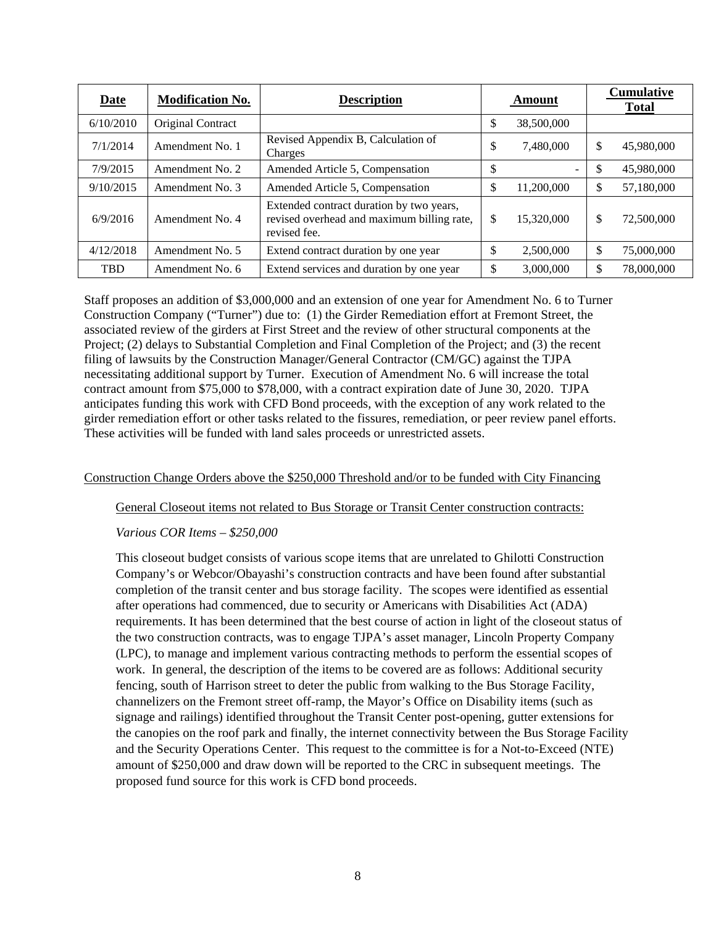| <b>Date</b> | <b>Modification No.</b> | <b>Description</b>                                                                                     | Amount |                          | <b>Cumulative</b><br><b>Total</b> |            |
|-------------|-------------------------|--------------------------------------------------------------------------------------------------------|--------|--------------------------|-----------------------------------|------------|
| 6/10/2010   | Original Contract       |                                                                                                        | \$     | 38,500,000               |                                   |            |
| 7/1/2014    | Amendment No. 1         | Revised Appendix B, Calculation of<br>Charges                                                          | \$     | 7,480,000                | \$                                | 45,980,000 |
| 7/9/2015    | Amendment No. 2         | Amended Article 5, Compensation                                                                        | \$     | $\overline{\phantom{a}}$ | \$                                | 45,980,000 |
| 9/10/2015   | Amendment No. 3         | Amended Article 5, Compensation                                                                        | \$     | 11,200,000               | \$                                | 57,180,000 |
| 6/9/2016    | Amendment No. 4         | Extended contract duration by two years,<br>revised overhead and maximum billing rate,<br>revised fee. | \$     | 15,320,000               | \$                                | 72,500,000 |
| 4/12/2018   | Amendment No. 5         | Extend contract duration by one year                                                                   | \$     | 2,500,000                | \$                                | 75,000,000 |
| <b>TBD</b>  | Amendment No. 6         | Extend services and duration by one year                                                               | \$     | 3,000,000                | \$                                | 78,000,000 |

Staff proposes an addition of \$3,000,000 and an extension of one year for Amendment No. 6 to Turner Construction Company ("Turner") due to: (1) the Girder Remediation effort at Fremont Street, the associated review of the girders at First Street and the review of other structural components at the Project; (2) delays to Substantial Completion and Final Completion of the Project; and (3) the recent filing of lawsuits by the Construction Manager/General Contractor (CM/GC) against the TJPA necessitating additional support by Turner. Execution of Amendment No. 6 will increase the total contract amount from \$75,000 to \$78,000, with a contract expiration date of June 30, 2020. TJPA anticipates funding this work with CFD Bond proceeds, with the exception of any work related to the girder remediation effort or other tasks related to the fissures, remediation, or peer review panel efforts. These activities will be funded with land sales proceeds or unrestricted assets.

#### Construction Change Orders above the \$250,000 Threshold and/or to be funded with City Financing

General Closeout items not related to Bus Storage or Transit Center construction contracts:

*Various COR Items – \$250,000*

This closeout budget consists of various scope items that are unrelated to Ghilotti Construction Company's or Webcor/Obayashi's construction contracts and have been found after substantial completion of the transit center and bus storage facility. The scopes were identified as essential after operations had commenced, due to security or Americans with Disabilities Act (ADA) requirements. It has been determined that the best course of action in light of the closeout status of the two construction contracts, was to engage TJPA's asset manager, Lincoln Property Company (LPC), to manage and implement various contracting methods to perform the essential scopes of work. In general, the description of the items to be covered are as follows: Additional security fencing, south of Harrison street to deter the public from walking to the Bus Storage Facility, channelizers on the Fremont street off-ramp, the Mayor's Office on Disability items (such as signage and railings) identified throughout the Transit Center post-opening, gutter extensions for the canopies on the roof park and finally, the internet connectivity between the Bus Storage Facility and the Security Operations Center. This request to the committee is for a Not-to-Exceed (NTE) amount of \$250,000 and draw down will be reported to the CRC in subsequent meetings. The proposed fund source for this work is CFD bond proceeds.